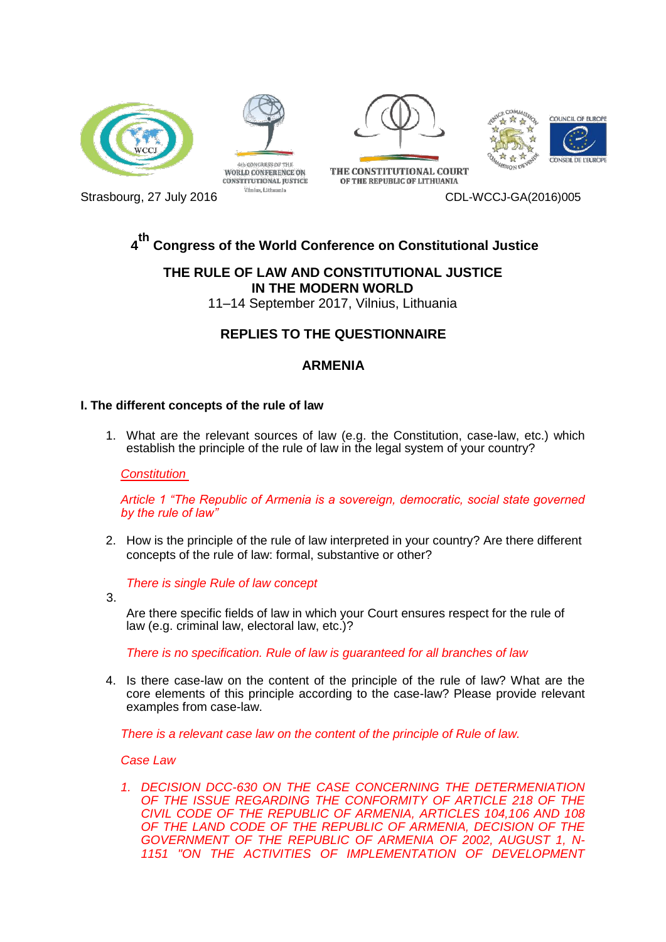





THE CONSTITUTIONAL COUPT

OF THE REPUBLIC OF LITHUANIA





**WORLD CONFERENCE ON CONSTITUTIONAL IUSTICE** 

# Strasbourg, 27 July 2016 and Strasbourg, 27 July 2016

#### **4 th Congress of the World Conference on Constitutional Justice**

## **THE RULE OF LAW AND CONSTITUTIONAL JUSTICE IN THE MODERN WORLD**

11–14 September 2017, Vilnius, Lithuania

## **REPLIES TO THE QUESTIONNAIRE**

## **ARMENIA**

### **I. The different concepts of the rule of law**

1. What are the relevant sources of law (e.g. the Constitution, case-law, etc.) which establish the principle of the rule of law in the legal system of your country?

*Constitution* 

*Article 1 "The Republic of Armenia is a sovereign, democratic, social state governed by the rule of law"*

2. How is the principle of the rule of law interpreted in your country? Are there different concepts of the rule of law: formal, substantive or other?

*There is single Rule of law concept*

3.

Are there specific fields of law in which your Court ensures respect for the rule of law (e.g. criminal law, electoral law, etc.)?

*There is no specification. Rule of law is guaranteed for all branches of law*

4. Is there case-law on the content of the principle of the rule of law? What are the core elements of this principle according to the case-law? Please provide relevant examples from case-law.

*There is a relevant case law on the content of the principle of Rule of law.* 

### *Case Law*

*1. DECISION DCC-630 ON THE CASE CONCERNING THE DETERMENIATION OF THE ISSUE REGARDING THE CONFORMITY OF ARTICLE 218 OF THE CIVIL CODE OF THE REPUBLIC OF ARMENIA, ARTICLES 104,106 AND 108 OF THE LAND CODE OF THE REPUBLIC OF ARMENIA, DECISION OF THE GOVERNMENT OF THE REPUBLIC OF ARMENIA OF 2002, AUGUST 1, N-1151 "ON THE ACTIVITIES OF IMPLEMENTATION OF DEVELOPMENT*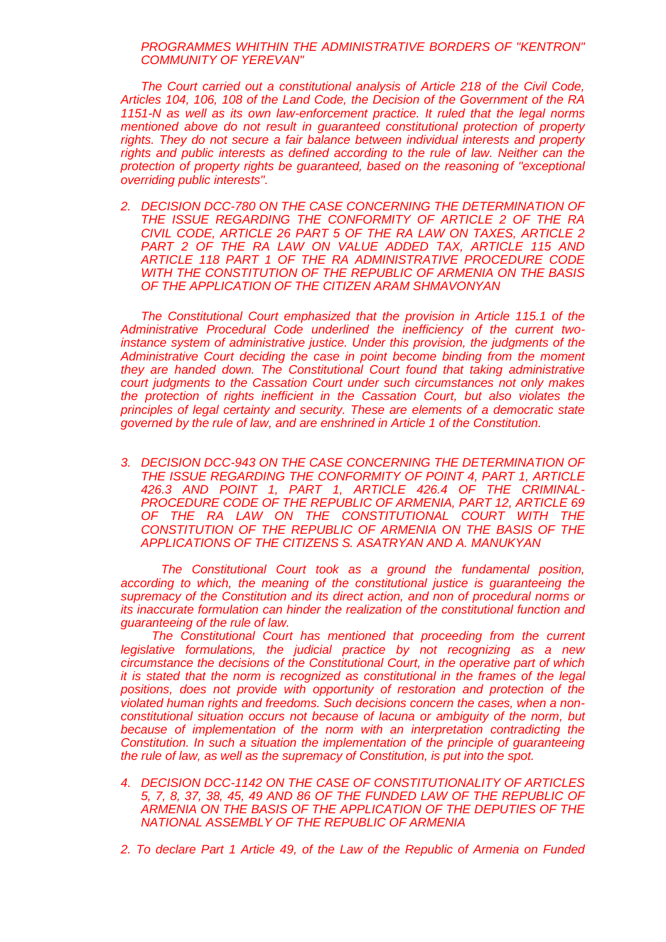*PROGRAMMES WHITHIN THE ADMINISTRATIVE BORDERS OF "KENTRON" COMMUNITY OF YEREVAN"*

*The Court carried out a constitutional analysis of Article 218 of the Civil Code, Articles 104, 106, 108 of the Land Code, the Decision of the Government of the RA 1151-N as well as its own law-enforcement practice. It ruled that the legal norms mentioned above do not result in guaranteed constitutional protection of property rights. They do not secure a fair balance between individual interests and property rights and public interests as defined according to the rule of law. Neither can the protection of property rights be guaranteed, based on the reasoning of "exceptional overriding public interests".*

*2. DECISION DCC-780 ON THE CASE CONCERNING THE DETERMINATION OF THE ISSUE REGARDING THE CONFORMITY OF ARTICLE 2 OF THE RA CIVIL CODE, ARTICLE 26 PART 5 OF THE RA LAW ON TAXES, ARTICLE 2*  PART 2 OF THE RA LAW ON VALUE ADDED TAX, ARTICLE 115 AND *ARTICLE 118 PART 1 OF THE RA ADMINISTRATIVE PROCEDURE CODE WITH THE CONSTITUTION OF THE REPUBLIC OF ARMENIA ON THE BASIS OF THE APPLICATION OF THE CITIZEN ARAM SHMAVONYAN*

*The Constitutional Court emphasized that the provision in Article 115.1 of the Administrative Procedural Code underlined the inefficiency of the current twoinstance system of administrative justice. Under this provision, the judgments of the Administrative Court deciding the case in point become binding from the moment they are handed down. The Constitutional Court found that taking administrative court judgments to the Cassation Court under such circumstances not only makes the protection of rights inefficient in the Cassation Court, but also violates the principles of legal certainty and security. These are elements of a democratic state governed by the rule of law, and are enshrined in [Article 1 of the Constitution.](http://www.codices.coe.int/NXT/gateway.dll?f=id$id=CODICESid%3Ar%3A1de211$cid=CODICESid$t=document-frame.htm$an=JD_const-eng-arm-a-001$3.0#JD_const-eng-arm-a-001)*

*3. DECISION DCC-943 ON THE CASE CONCERNING THE DETERMINATION OF THE ISSUE REGARDING THE CONFORMITY OF POINT 4, PART 1, ARTICLE 426.3 AND POINT 1, PART 1, ARTICLE 426.4 OF THE CRIMINAL-PROCEDURE CODE OF THE REPUBLIC OF ARMENIA, PART 12, ARTICLE 69 OF THE RA LAW ON THE CONSTITUTIONAL COURT WITH THE CONSTITUTION OF THE REPUBLIC OF ARMENIA ON THE BASIS OF THE APPLICATIONS OF THE CITIZENS S. ASATRYAN AND A. MANUKYAN*

*The Constitutional Court took as a ground the fundamental position, according to which, the meaning of the constitutional justice is guaranteeing the supremacy of the Constitution and its direct action, and non of procedural norms or its inaccurate formulation can hinder the realization of the constitutional function and guaranteeing of the rule of law.*

 *The Constitutional Court has mentioned that proceeding from the current legislative formulations, the judicial practice by not recognizing as a new circumstance the decisions of the Constitutional Court, in the operative part of which it is stated that the norm is recognized as constitutional in the frames of the legal positions, does not provide with opportunity of restoration and protection of the violated human rights and freedoms. Such decisions concern the cases, when a nonconstitutional situation occurs not because of lacuna or ambiguity of the norm, but because of implementation of the norm with an interpretation contradicting the Constitution. In such a situation the implementation of the principle of guaranteeing the rule of law, as well as the supremacy of Constitution, is put into the spot.*

- *4. DECISION DCC-1142 ON THE CASE OF CONSTITUTIONALITY OF ARTICLES 5, 7, 8, 37, 38, 45, 49 AND 86 OF THE FUNDED LAW OF THE REPUBLIC OF ARMENIA ON THE BASIS OF THE APPLICATION OF THE DEPUTIES OF THE NATIONAL ASSEMBLY OF THE REPUBLIC OF ARMENIA*
- *2. To declare Part 1 Article 49, of the Law of the Republic of Armenia on Funded*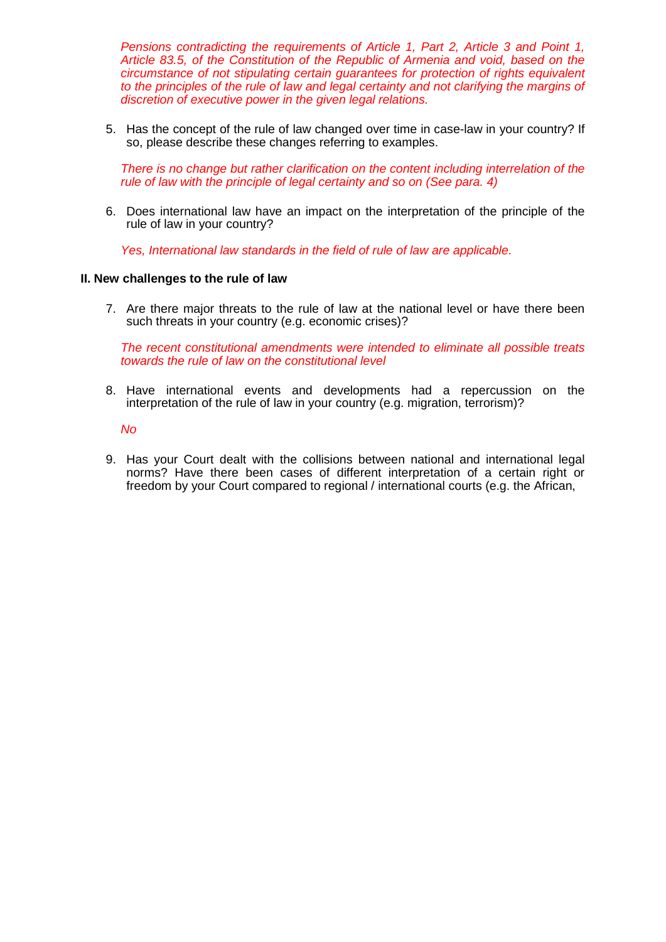*Pensions contradicting the requirements of Article 1, Part 2, Article 3 and Point 1, Article 83.5, of the Constitution of the Republic of Armenia and void, based on the circumstance of not stipulating certain guarantees for protection of rights equivalent*  to the principles of the rule of law and legal certainty and not clarifying the margins of *discretion of executive power in the given legal relations.*

5. Has the concept of the rule of law changed over time in case-law in your country? If so, please describe these changes referring to examples.

*There is no change but rather clarification on the content including interrelation of the rule of law with the principle of legal certainty and so on (See para. 4)*

6. Does international law have an impact on the interpretation of the principle of the rule of law in your country?

*Yes, International law standards in the field of rule of law are applicable.*

#### **II. New challenges to the rule of law**

7. Are there major threats to the rule of law at the national level or have there been such threats in your country (e.g. economic crises)?

*The recent constitutional amendments were intended to eliminate all possible treats towards the rule of law on the constitutional level*

8. Have international events and developments had a repercussion on the interpretation of the rule of law in your country (e.g. migration, terrorism)?

*No*

9. Has your Court dealt with the collisions between national and international legal norms? Have there been cases of different interpretation of a certain right or freedom by your Court compared to regional / international courts (e.g. the African,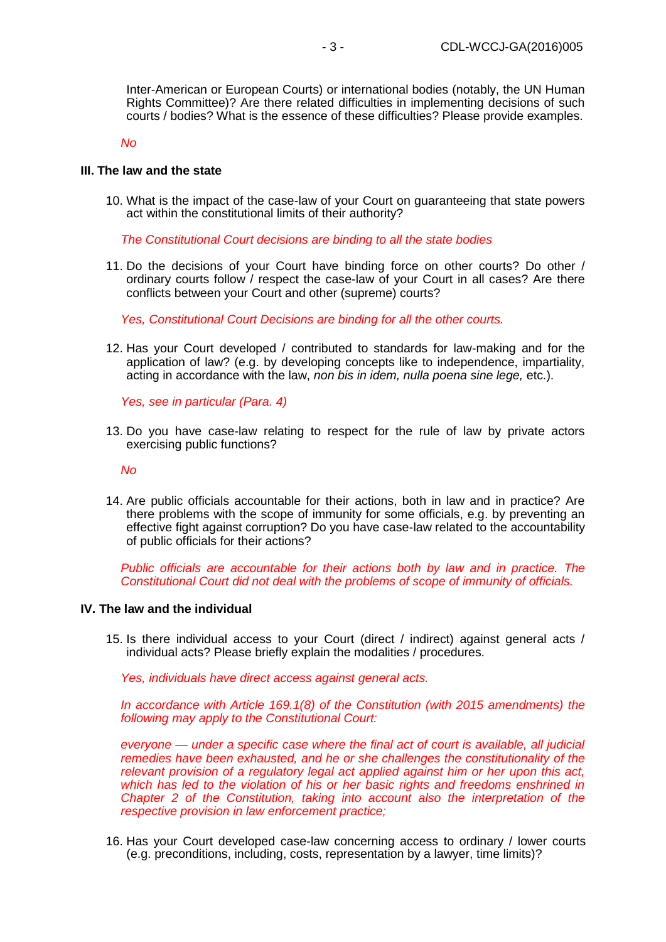Inter-American or European Courts) or international bodies (notably, the UN Human Rights Committee)? Are there related difficulties in implementing decisions of such courts / bodies? What is the essence of these difficulties? Please provide examples.

*No*

#### **III. The law and the state**

10. What is the impact of the case-law of your Court on guaranteeing that state powers act within the constitutional limits of their authority?

*The Constitutional Court decisions are binding to all the state bodies*

11. Do the decisions of your Court have binding force on other courts? Do other / ordinary courts follow / respect the case-law of your Court in all cases? Are there conflicts between your Court and other (supreme) courts?

*Yes, Constitutional Court Decisions are binding for all the other courts.*

12. Has your Court developed / contributed to standards for law-making and for the application of law? (e.g. by developing concepts like to independence, impartiality, acting in accordance with the law, *non bis in idem, nulla poena sine lege,* etc.).

*Yes, see in particular (Para. 4)*

13. Do you have case-law relating to respect for the rule of law by private actors exercising public functions?

*No*

14. Are public officials accountable for their actions, both in law and in practice? Are there problems with the scope of immunity for some officials, e.g. by preventing an effective fight against corruption? Do you have case-law related to the accountability of public officials for their actions?

*Public officials are accountable for their actions both by law and in practice. The Constitutional Court did not deal with the problems of scope of immunity of officials.*

#### **IV. The law and the individual**

15. Is there individual access to your Court (direct / indirect) against general acts / individual acts? Please briefly explain the modalities / procedures.

*Yes, individuals have direct access against general acts.*

*In accordance with Article 169.1(8) of the Constitution (with 2015 amendments) the following may apply to the Constitutional Court:*

*everyone — under a specific case where the final act of court is available, all judicial remedies have been exhausted, and he or she challenges the constitutionality of the relevant provision of a regulatory legal act applied against him or her upon this act, which has led to the violation of his or her basic rights and freedoms enshrined in Chapter 2 of the Constitution, taking into account also the interpretation of the respective provision in law enforcement practice;*

16. Has your Court developed case-law concerning access to ordinary / lower courts (e.g. preconditions, including, costs, representation by a lawyer, time limits)?